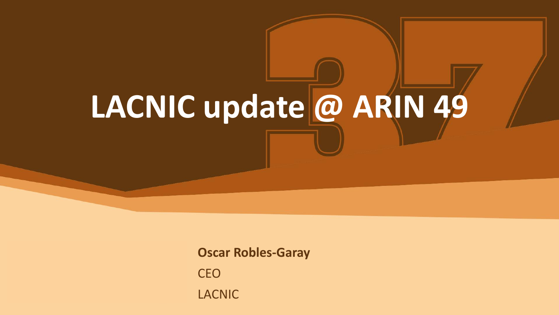# **LACNIC update @ ARIN 49**

**Oscar Robles-Garay** CEO LACNIC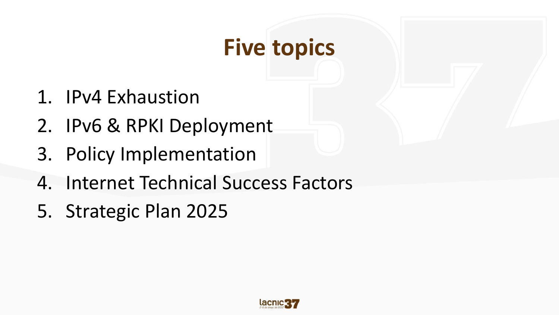# **Five topics**

- 1. IPv4 Exhaustion
- 2. IPv6 & RPKI Deployment
- 3. Policy Implementation
- 4. Internet Technical Success Factors
- 5. Strategic Plan 2025

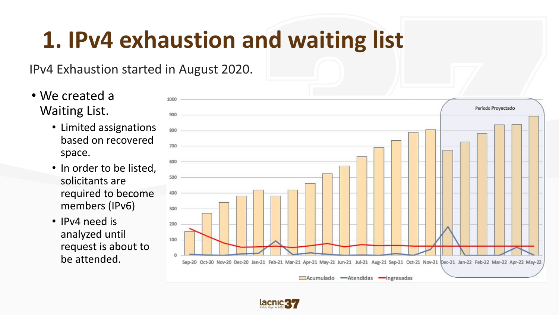### **1. IPv4 exhaustion and waiting list**

#### IPv4 Exhaustion started in August 2020.

- We created a Waiting List.
	- Limited assignations based on recovered space.
	- In order to be listed, solicitants are required to become members (IPv6)
	- IPv4 need is analyzed until request is about to be attended.



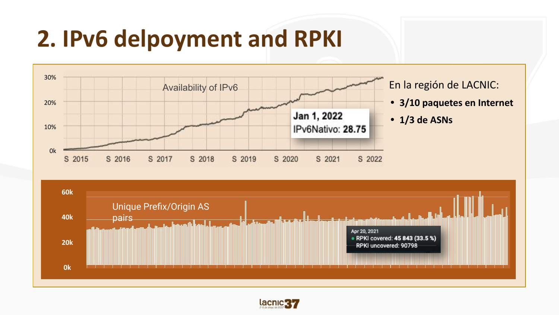### **2. IPv6 delpoyment and RPKI**



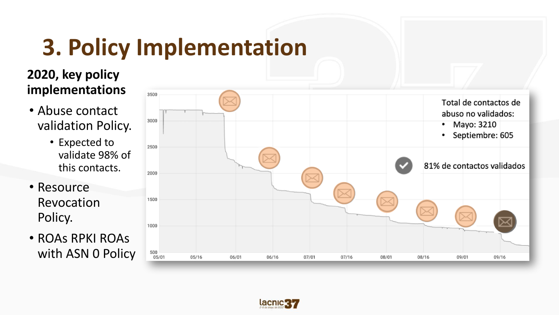# **3. Policy Implementation**

#### **2020, key policy implementations**

- Abuse contact validation Policy.
	- Expected to validate 98% of this contacts.
- Resource Revocation Policy.
- ROAs RPKI ROAs with ASN 0 Policy



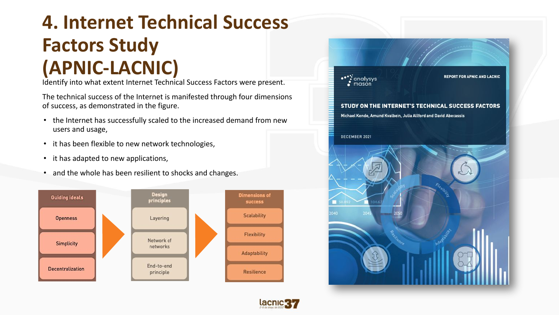#### **4. Internet Technical Success Factors Study (APNIC-LACNIC)**

Identify into what extent Internet Technical Success Factors were present.

The technical success of the Internet is manifested through four dimensions of success, as demonstrated in the figure.

- the Internet has successfully scaled to the increased demand from new users and usage,
- it has been flexible to new network technologies,
- it has adapted to new applications,
- and the whole has been resilient to shocks and changes.





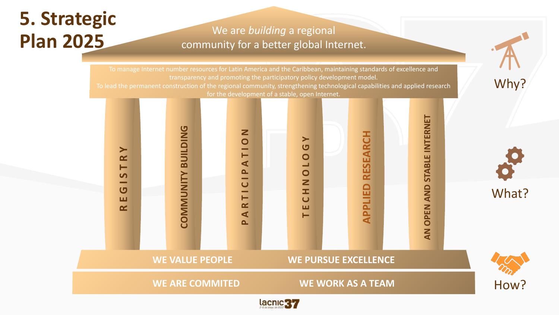### **5. Strategic Plan 2025**

#### We are *building* a regional community for a better global Internet.

To manage Internet number resources for Latin America and the Caribbean, maintaining standards of excellence and transparency and promoting the participatory policy development model. To lead the permanent construction of the regional community, strengthening technological capabilities and applied research for the development of a stable, open Internet.



Why?

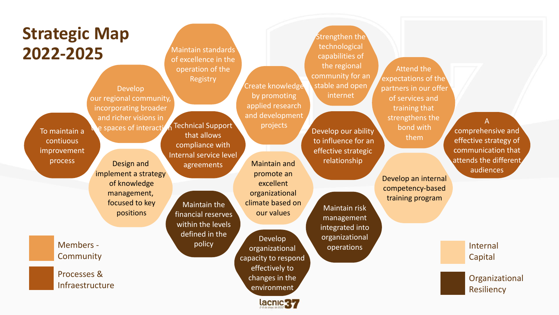| <b>Strategic Map</b><br>2022-2025<br>Develop<br>our regional community,<br>incorporating broader<br>and richer visions in<br>e spaces of interacti<br>To maintain a<br>contiuous<br>improvement<br>process<br>Design and<br>implement a strategy<br>of knowledge<br>management,<br>focused to key<br>positions | Maintain standards<br>of excellence in the<br>operation of the<br>Registry<br>Technical Support<br>that allows<br>compliance with<br>Internal service level<br>agreements<br><b>Maintain the</b><br>financial reserves<br>within the levels<br>defined in the | Create knowledge<br>by promoting<br>applied research<br>and development<br>projects<br><b>Maintain and</b><br>promote an<br>excellent<br>organizational<br>climate based on<br>our values<br>Develop | Strengthen the<br>technological<br>capabilities of<br>the regional<br>community for an<br>stable and open<br>internet<br>Develop our ability<br>to influence for an<br>effective strategic<br>relationship<br>Maintain risk<br>management<br>integrated into<br>organizational | <b>Attend the</b><br>expectations of the<br>partners in our offer<br>of services and<br>training that<br>strengthens the<br>bond with<br>them<br>Develop an internal<br>competency-based<br>training program | comprehensive and<br>effective strategy of<br>communication that<br>attends the different<br>audiences |
|----------------------------------------------------------------------------------------------------------------------------------------------------------------------------------------------------------------------------------------------------------------------------------------------------------------|---------------------------------------------------------------------------------------------------------------------------------------------------------------------------------------------------------------------------------------------------------------|------------------------------------------------------------------------------------------------------------------------------------------------------------------------------------------------------|--------------------------------------------------------------------------------------------------------------------------------------------------------------------------------------------------------------------------------------------------------------------------------|--------------------------------------------------------------------------------------------------------------------------------------------------------------------------------------------------------------|--------------------------------------------------------------------------------------------------------|
| Members -<br>Community                                                                                                                                                                                                                                                                                         | policy                                                                                                                                                                                                                                                        | organizational<br>capacity to respond                                                                                                                                                                | operations                                                                                                                                                                                                                                                                     |                                                                                                                                                                                                              | Internal<br>Capital                                                                                    |
| Processes &<br>Infraestructure                                                                                                                                                                                                                                                                                 |                                                                                                                                                                                                                                                               | effectively to<br>changes in the<br>environment<br>lacnic 37                                                                                                                                         |                                                                                                                                                                                                                                                                                |                                                                                                                                                                                                              | Organizational<br>Resiliency                                                                           |